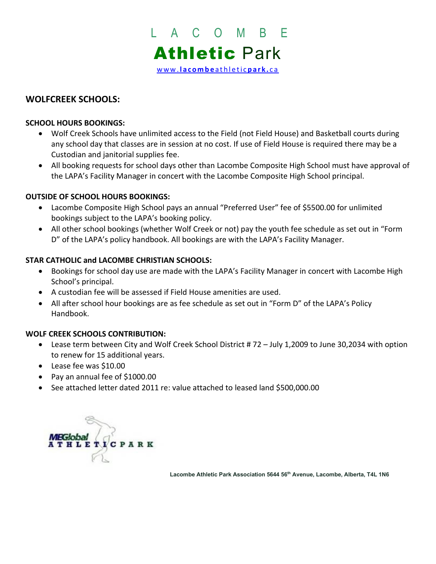

# **WOLFCREEK SCHOOLS:**

## **SCHOOL HOURS BOOKINGS:**

- Wolf Creek Schools have unlimited access to the Field (not Field House) and Basketball courts during any school day that classes are in session at no cost. If use of Field House is required there may be a Custodian and janitorial supplies fee.
- All booking requests for school days other than Lacombe Composite High School must have approval of the LAPA's Facility Manager in concert with the Lacombe Composite High School principal.

## **OUTSIDE OF SCHOOL HOURS BOOKINGS:**

- Lacombe Composite High School pays an annual "Preferred User" fee of \$5500.00 for unlimited bookings subject to the LAPA's booking policy.
- All other school bookings (whether Wolf Creek or not) pay the youth fee schedule as set out in "Form D" of the LAPA's policy handbook. All bookings are with the LAPA's Facility Manager.

## **STAR CATHOLIC and LACOMBE CHRISTIAN SCHOOLS:**

- Bookings for school day use are made with the LAPA's Facility Manager in concert with Lacombe High School's principal.
- A custodian fee will be assessed if Field House amenities are used.
- All after school hour bookings are as fee schedule as set out in "Form D" of the LAPA's Policy Handbook.

## **WOLF CREEK SCHOOLS CONTRIBUTION:**

- Lease term between City and Wolf Creek School District # 72 July 1,2009 to June 30,2034 with option to renew for 15 additional years.
- Lease fee was \$10.00
- Pay an annual fee of \$1000.00
- See attached letter dated 2011 re: value attached to leased land \$500,000.00



Lacombe Athletic Park Association 5644 56<sup>th</sup> Avenue, Lacombe, Alberta, T4L 1N6